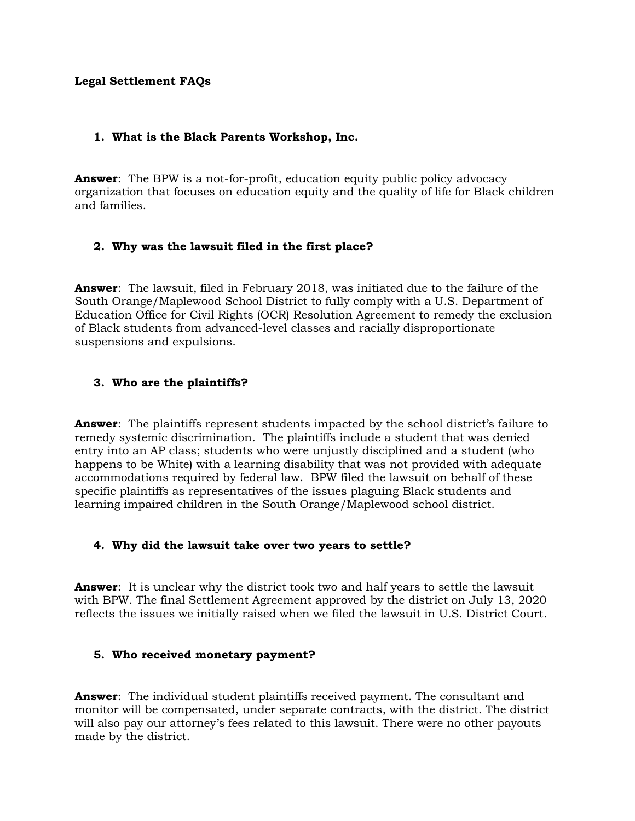#### **Legal Settlement FAQs**

#### **1. What is the Black Parents Workshop, Inc.**

**Answer**: The BPW is a not-for-profit, education equity public policy advocacy organization that focuses on education equity and the quality of life for Black children and families.

## **2. Why was the lawsuit filed in the first place?**

**Answer**: The lawsuit, filed in February 2018, was initiated due to the failure of the South Orange/Maplewood School District to fully comply with a U.S. Department of Education Office for Civil Rights (OCR) Resolution Agreement to remedy the exclusion of Black students from advanced-level classes and racially disproportionate suspensions and expulsions.

## **3. Who are the plaintiffs?**

**Answer**: The plaintiffs represent students impacted by the school district's failure to remedy systemic discrimination. The plaintiffs include a student that was denied entry into an AP class; students who were unjustly disciplined and a student (who happens to be White) with a learning disability that was not provided with adequate accommodations required by federal law. BPW filed the lawsuit on behalf of these specific plaintiffs as representatives of the issues plaguing Black students and learning impaired children in the South Orange/Maplewood school district.

#### **4. Why did the lawsuit take over two years to settle?**

**Answer**: It is unclear why the district took two and half years to settle the lawsuit with BPW. The final Settlement Agreement approved by the district on July 13, 2020 reflects the issues we initially raised when we filed the lawsuit in U.S. District Court.

#### **5. Who received monetary payment?**

**Answer**: The individual student plaintiffs received payment. The consultant and monitor will be compensated, under separate contracts, with the district. The district will also pay our attorney's fees related to this lawsuit. There were no other payouts made by the district.